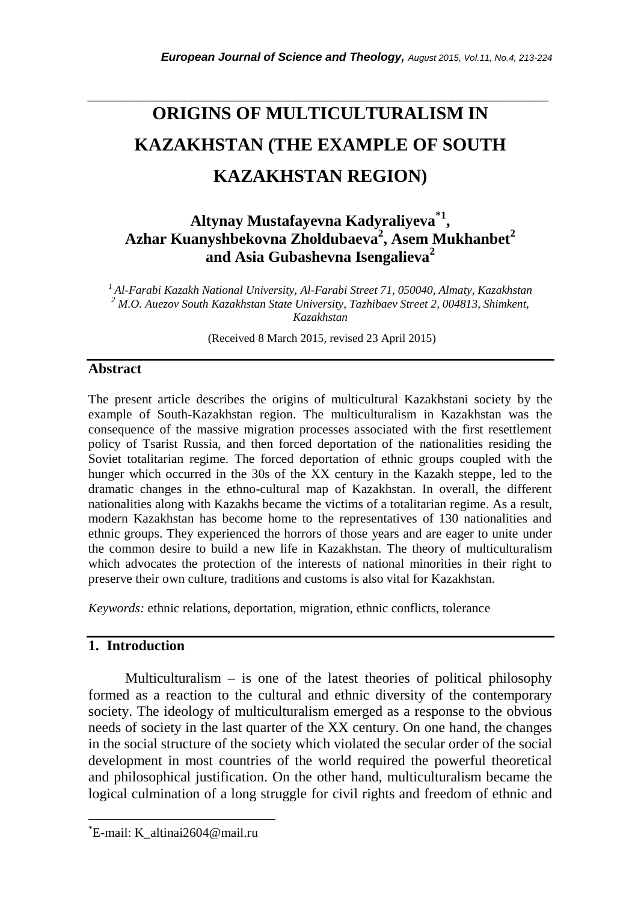# **ORIGINS OF MULTICULTURALISM IN KAZAKHSTAN (THE EXAMPLE OF SOUTH KAZAKHSTAN REGION)**

*\_\_\_\_\_\_\_\_\_\_\_\_\_\_\_\_\_\_\_\_\_\_\_\_\_\_\_\_\_\_\_\_\_\_\_\_\_\_\_\_\_\_\_\_\_\_\_\_\_\_\_\_\_\_\_\_\_\_\_\_\_\_\_\_\_\_\_\_\_\_\_*

## **Altynay Mustafayevna Kadyraliyeva\*1 , Azhar Kuanyshbekovna Zholdubaeva<sup>2</sup> , Asem Mukhanbet<sup>2</sup> and Asia Gubashevna Isengalieva<sup>2</sup>**

*<sup>1</sup>Al-Farabi Kazakh National University, Al-Farabi Street 71, 050040, Almaty, Kazakhstan <sup>2</sup> M.O. Auezov South Kazakhstan State University, Tazhibaev Street 2, 004813, Shimkent, Kazakhstan*

(Received 8 March 2015, revised 23 April 2015)

### **Abstract**

The present article describes the origins of multicultural Kazakhstani society by the example of South-Kazakhstan region. The multiculturalism in Kazakhstan was the consequence of the massive migration processes associated with the first resettlement policy of Tsarist Russia, and then forced deportation of the nationalities residing the Soviet totalitarian regime. The forced deportation of ethnic groups coupled with the hunger which occurred in the 30s of the XX century in the Kazakh steppe, led to the dramatic changes in the ethno-cultural map of Kazakhstan. In overall, the different nationalities along with Kazakhs became the victims of a totalitarian regime. As a result, modern Kazakhstan has become home to the representatives of 130 nationalities and ethnic groups. They experienced the horrors of those years and are eager to unite under the common desire to build a new life in Kazakhstan. The theory of multiculturalism which advocates the protection of the interests of national minorities in their right to preserve their own culture, traditions and customs is also vital for Kazakhstan.

*Keywords:* ethnic relations, deportation, migration, ethnic conflicts, tolerance

## **1. Introduction**

l

Multiculturalism  $-$  is one of the latest theories of political philosophy formed as a reaction to the cultural and ethnic diversity of the contemporary society. The ideology of multiculturalism emerged as a response to the obvious needs of society in the last quarter of the XX century. On one hand, the changes in the social structure of the society which violated the secular order of the social development in most countries of the world required the powerful theoretical and philosophical justification. On the other hand, multiculturalism became the logical culmination of a long struggle for civil rights and freedom of ethnic and

<sup>\*</sup>E-mail: K\_altinai2604@mail.ru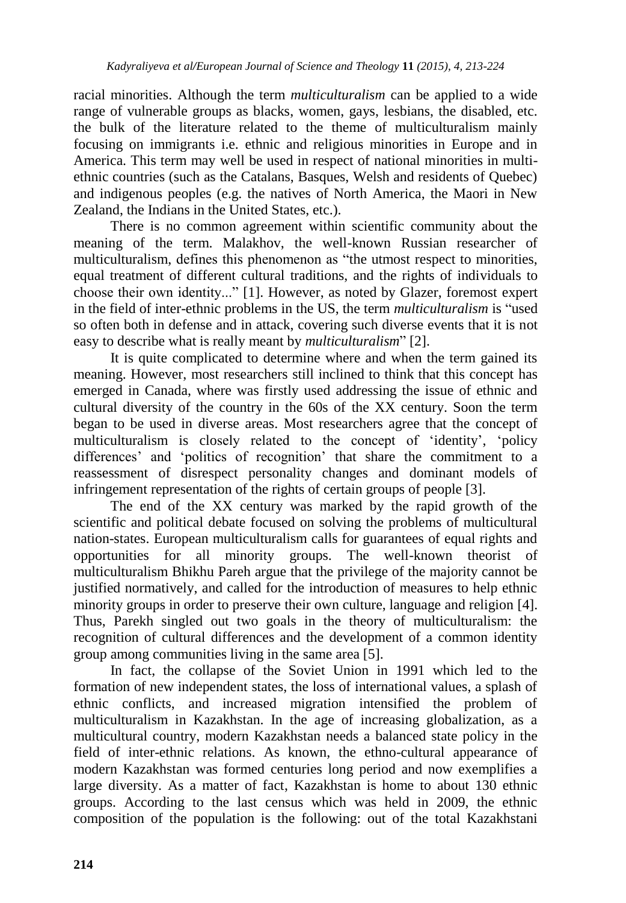racial minorities. Although the term *multiculturalism* can be applied to a wide range of vulnerable groups as blacks, women, gays, lesbians, the disabled, etc. the bulk of the literature related to the theme of multiculturalism mainly focusing on immigrants i.e. ethnic and religious minorities in Europe and in America. This term may well be used in respect of national minorities in multiethnic countries (such as the Catalans, Basques, Welsh and residents of Quebec) and indigenous peoples (e.g. the natives of North America, the Maori in New Zealand, the Indians in the United States, etc.).

There is no common agreement within scientific community about the meaning of the term. Malakhov, the well-known Russian researcher of multiculturalism, defines this phenomenon as "the utmost respect to minorities, equal treatment of different cultural traditions, and the rights of individuals to choose their own identity..." [1]. However, as noted by Glazer, foremost expert in the field of inter-ethnic problems in the US, the term *multiculturalism* is "used so often both in defense and in attack, covering such diverse events that it is not easy to describe what is really meant by *multiculturalism*" [2].

It is quite complicated to determine where and when the term gained its meaning. However, most researchers still inclined to think that this concept has emerged in Canada, where was firstly used addressing the issue of ethnic and cultural diversity of the country in the 60s of the XX century. Soon the term began to be used in diverse areas. Most researchers agree that the concept of multiculturalism is closely related to the concept of 'identity', 'policy differences' and 'politics of recognition' that share the commitment to a reassessment of disrespect personality changes and dominant models of infringement representation of the rights of certain groups of people [3].

The end of the XX century was marked by the rapid growth of the scientific and political debate focused on solving the problems of multicultural nation-states. European multiculturalism calls for guarantees of equal rights and opportunities for all minority groups. The well-known theorist of multiculturalism Bhikhu Pareh argue that the privilege of the majority cannot be justified normatively, and called for the introduction of measures to help ethnic minority groups in order to preserve their own culture, language and religion [4]. Thus, Parekh singled out two goals in the theory of multiculturalism: the recognition of cultural differences and the development of a common identity group among communities living in the same area [5].

In fact, the collapse of the Soviet Union in 1991 which led to the formation of new independent states, the loss of international values, a splash of ethnic conflicts, and increased migration intensified the problem of multiculturalism in Kazakhstan. In the age of increasing globalization, as a multicultural country, modern Kazakhstan needs a balanced state policy in the field of inter-ethnic relations. As known, the ethno-cultural appearance of modern Kazakhstan was formed centuries long period and now exemplifies a large diversity. As a matter of fact, Kazakhstan is home to about 130 ethnic groups. According to the last census which was held in 2009, the ethnic composition of the population is the following: out of the total Kazakhstani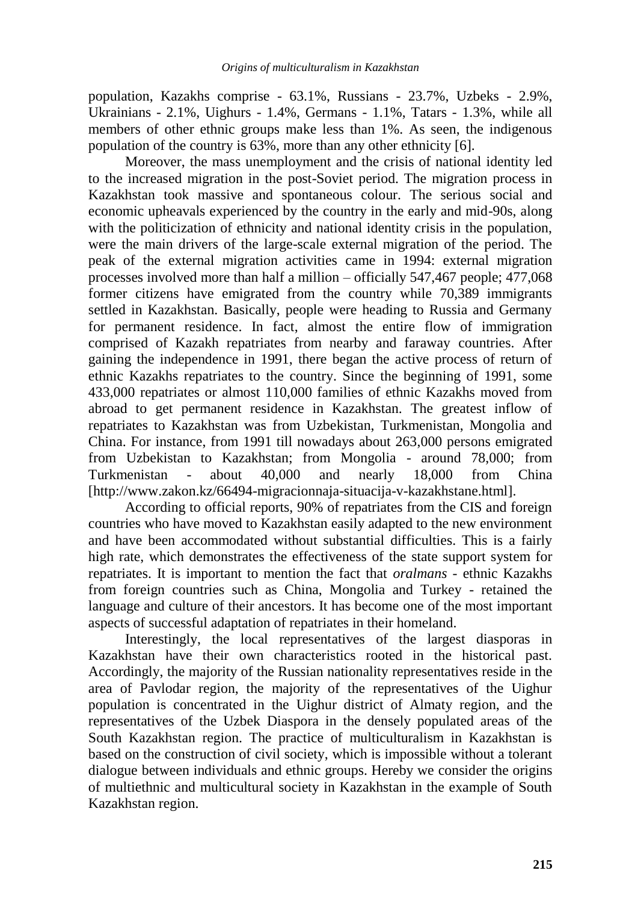population, Kazakhs comprise - 63.1%, Russians - 23.7%, Uzbeks - 2.9%, Ukrainians - 2.1%, Uighurs - 1.4%, Germans - 1.1%, Tatars - 1.3%, while all members of other ethnic groups make less than 1%. As seen, the indigenous population of the country is 63%, more than any other ethnicity [6].

Moreover, the mass unemployment and the crisis of national identity led to the increased migration in the post-Soviet period. The migration process in Kazakhstan took massive and spontaneous colour. The serious social and economic upheavals experienced by the country in the early and mid-90s, along with the politicization of ethnicity and national identity crisis in the population, were the main drivers of the large-scale external migration of the period. The peak of the external migration activities came in 1994: external migration processes involved more than half a million – officially 547,467 people; 477,068 former citizens have emigrated from the country while 70,389 immigrants settled in Kazakhstan. Basically, people were heading to Russia and Germany for permanent residence. In fact, almost the entire flow of immigration comprised of Kazakh repatriates from nearby and faraway countries. After gaining the independence in 1991, there began the active process of return of ethnic Kazakhs repatriates to the country. Since the beginning of 1991, some 433,000 repatriates or almost 110,000 families of ethnic Kazakhs moved from abroad to get permanent residence in Kazakhstan. The greatest inflow of repatriates to Kazakhstan was from Uzbekistan, Turkmenistan, Mongolia and China. For instance, from 1991 till nowadays about 263,000 persons emigrated from Uzbekistan to Kazakhstan; from Mongolia - around 78,000; from Turkmenistan - about 40,000 and nearly 18,000 from China [http://www.zakon.kz/66494-migracionnaja-situacija-v-kazakhstane.html].

According to official reports, 90% of repatriates from the CIS and foreign countries who have moved to Kazakhstan easily adapted to the new environment and have been accommodated without substantial difficulties. This is a fairly high rate, which demonstrates the effectiveness of the state support system for repatriates. It is important to mention the fact that *oralmans -* ethnic Kazakhs from foreign countries such as China, Mongolia and Turkey - retained the language and culture of their ancestors. It has become one of the most important aspects of successful adaptation of repatriates in their homeland.

Interestingly, the local representatives of the largest diasporas in Kazakhstan have their own characteristics rooted in the historical past. Accordingly, the majority of the Russian nationality representatives reside in the area of Pavlodar region, the majority of the representatives of the Uighur population is concentrated in the Uighur district of Almaty region, and the representatives of the Uzbek Diaspora in the densely populated areas of the South Kazakhstan region. The practice of multiculturalism in Kazakhstan is based on the construction of civil society, which is impossible without a tolerant dialogue between individuals and ethnic groups. Hereby we consider the origins of multiethnic and multicultural society in Kazakhstan in the example of South Kazakhstan region.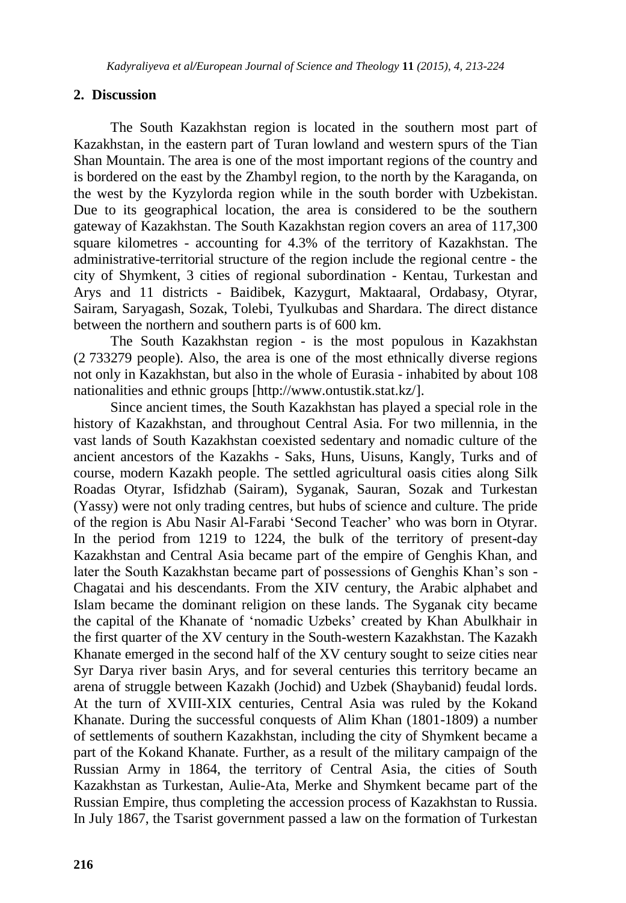## **2. Discussion**

The South Kazakhstan region is located in the southern most part of Kazakhstan, in the eastern part of Turan lowland and western spurs of the Tian Shan Mountain. The area is one of the most important regions of the country and is bordered on the east by the Zhambyl region, to the north by the Karaganda, on the west by the Kyzylorda region while in the south border with Uzbekistan. Due to its geographical location, the area is considered to be the southern gateway of Kazakhstan. The South Kazakhstan region covers an area of 117,300 square kilometres - accounting for 4.3% of the territory of Kazakhstan. The administrative-territorial structure of the region include the regional centre - the city of Shymkent, 3 cities of regional subordination - Kentau, Turkestan and Arys and 11 districts - Baidibek, Kazygurt, Maktaaral, Ordabasy, Otyrar, Sairam, Saryagash, Sozak, Tolebi, Tyulkubas and Shardara. The direct distance between the northern and southern parts is of 600 km.

The South Kazakhstan region - is the most populous in Kazakhstan (2 733279 people). Also, the area is one of the most ethnically diverse regions not only in Kazakhstan, but also in the whole of Eurasia - inhabited by about 108 nationalities and ethnic groups [http://www.ontustik.stat.kz/].

Since ancient times, the South Kazakhstan has played a special role in the history of Kazakhstan, and throughout Central Asia. For two millennia, in the vast lands of South Kazakhstan coexisted sedentary and nomadic culture of the ancient ancestors of the Kazakhs - Saks, Huns, Uisuns, Kangly, Turks and of course, modern Kazakh people. The settled agricultural oasis cities along Silk Roadas Otyrar, Isfidzhab (Sairam), Syganak, Sauran, Sozak and Turkestan (Yassy) were not only trading centres, but hubs of science and culture. The pride of the region is Abu Nasir Al-Farabi "Second Teacher" who was born in Otyrar. In the period from 1219 to 1224, the bulk of the territory of present-day Kazakhstan and Central Asia became part of the empire of Genghis Khan, and later the South Kazakhstan became part of possessions of Genghis Khan"s son - Chagatai and his descendants. From the XIV century, the Arabic alphabet and Islam became the dominant religion on these lands. The Syganak city became the capital of the Khanate of "nomadic Uzbeks" created by Khan Abulkhair in the first quarter of the XV century in the South-western Kazakhstan. The Kazakh Khanate emerged in the second half of the XV century sought to seize cities near Syr Darya river basin Arys, and for several centuries this territory became an arena of struggle between Kazakh (Jochid) and Uzbek (Shaybanid) feudal lords. At the turn of XVIII-XIX centuries, Central Asia was ruled by the Kokand Khanate. During the successful conquests of Alim Khan (1801-1809) a number of settlements of southern Kazakhstan, including the city of Shymkent became a part of the Kokand Khanate. Further, as a result of the military campaign of the Russian Army in 1864, the territory of Central Asia, the cities of South Kazakhstan as Turkestan, Aulie-Ata, Merke and Shymkent became part of the Russian Empire, thus completing the accession process of Kazakhstan to Russia. In July 1867, the Tsarist government passed a law on the formation of Turkestan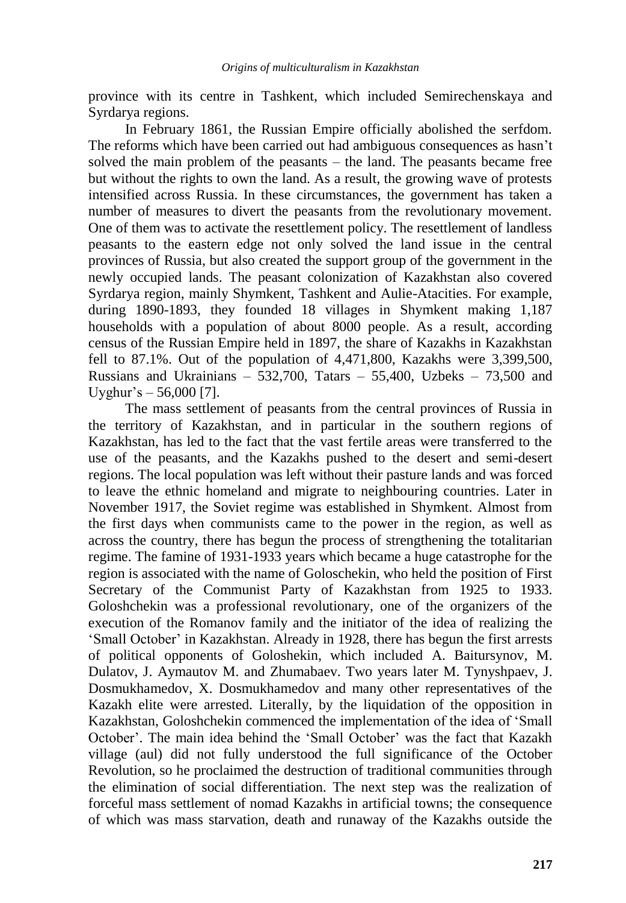province with its centre in Tashkent, which included Semirechenskaya and Syrdarya regions.

In February 1861, the Russian Empire officially abolished the serfdom. The reforms which have been carried out had ambiguous consequences as hasn"t solved the main problem of the peasants – the land. The peasants became free but without the rights to own the land. As a result, the growing wave of protests intensified across Russia. In these circumstances, the government has taken a number of measures to divert the peasants from the revolutionary movement. One of them was to activate the resettlement policy. The resettlement of landless peasants to the eastern edge not only solved the land issue in the central provinces of Russia, but also created the support group of the government in the newly occupied lands. The peasant colonization of Kazakhstan also covered Syrdarya region, mainly Shymkent, Tashkent and Aulie-Atacities. For example, during 1890-1893, they founded 18 villages in Shymkent making 1,187 households with a population of about 8000 people. As a result, according census of the Russian Empire held in 1897, the share of Kazakhs in Kazakhstan fell to 87.1%. Out of the population of 4,471,800, Kazakhs were 3,399,500, Russians and Ukrainians – 532,700, Tatars – 55,400, Uzbeks – 73,500 and Uyghur's  $-56,000$  [7].

The mass settlement of peasants from the central provinces of Russia in the territory of Kazakhstan, and in particular in the southern regions of Kazakhstan, has led to the fact that the vast fertile areas were transferred to the use of the peasants, and the Kazakhs pushed to the desert and semi-desert regions. The local population was left without their pasture lands and was forced to leave the ethnic homeland and migrate to neighbouring countries. Later in November 1917, the Soviet regime was established in Shymkent. Almost from the first days when communists came to the power in the region, as well as across the country, there has begun the process of strengthening the totalitarian regime. The famine of 1931-1933 years which became a huge catastrophe for the region is associated with the name of Goloschekin, who held the position of First Secretary of the Communist Party of Kazakhstan from 1925 to 1933. Goloshchekin was a professional revolutionary, one of the organizers of the execution of the Romanov family and the initiator of the idea of realizing the "Small October" in Kazakhstan. Already in 1928, there has begun the first arrests of political opponents of Goloshekin, which included A. Baitursynov, M. Dulatov, J. Aymautov M. and Zhumabaev. Two years later M. Tynyshpaev, J. Dosmukhamedov, X. Dosmukhamedov and many other representatives of the Kazakh elite were arrested. Literally, by the liquidation of the opposition in Kazakhstan, Goloshchekin commenced the implementation of the idea of "Small October". The main idea behind the "Small October" was the fact that Kazakh village (aul) did not fully understood the full significance of the October Revolution, so he proclaimed the destruction of traditional communities through the elimination of social differentiation. The next step was the realization of forceful mass settlement of nomad Kazakhs in artificial towns; the consequence of which was mass starvation, death and runaway of the Kazakhs outside the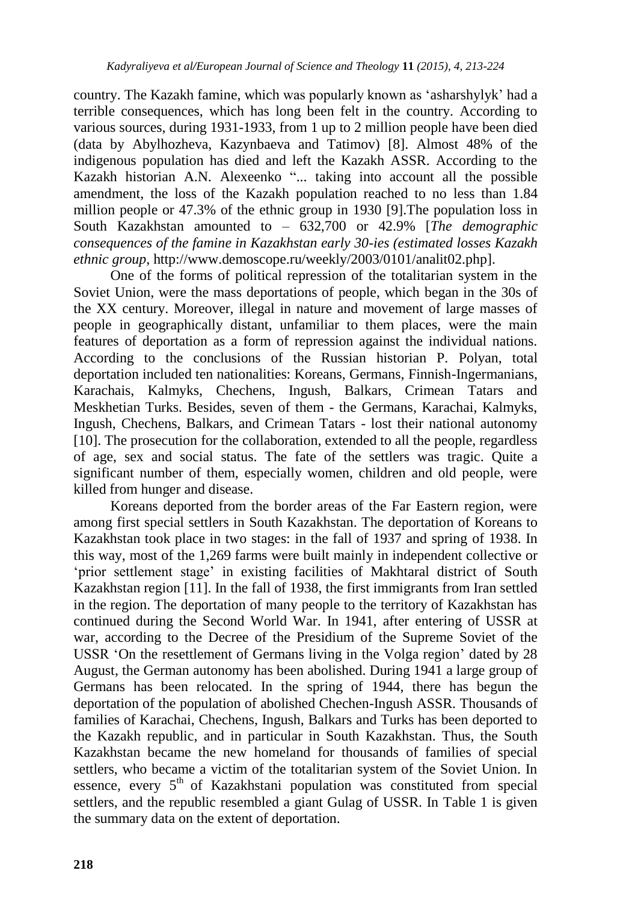country. The Kazakh famine, which was popularly known as "asharshylyk" had a terrible consequences, which has long been felt in the country. According to various sources, during 1931-1933, from 1 up to 2 million people have been died (data by Abylhozheva, Kazynbaeva and Tatimov) [8]. Almost 48% of the indigenous population has died and left the Kazakh ASSR. According to the Kazakh historian A.N. Alexeenko "... taking into account all the possible amendment, the loss of the Kazakh population reached to no less than 1.84 million people or 47.3% of the ethnic group in 1930 [9].The population loss in South Kazakhstan amounted to – 632,700 or 42.9% [*The demographic consequences of the famine in Kazakhstan early 30-ies (estimated losses Kazakh ethnic group*, http://www.demoscope.ru/weekly/2003/0101/analit02.php].

One of the forms of political repression of the totalitarian system in the Soviet Union, were the mass deportations of people, which began in the 30s of the XX century. Moreover, illegal in nature and movement of large masses of people in geographically distant, unfamiliar to them places, were the main features of deportation as a form of repression against the individual nations. According to the conclusions of the Russian historian P. Polyan, total deportation included ten nationalities: Koreans, Germans, Finnish-Ingermanians, Karachais, Kalmyks, Chechens, Ingush, Balkars, Crimean Tatars and Meskhetian Turks. Besides, seven of them - the Germans, Karachai, Kalmyks, Ingush, Chechens, Balkars, and Crimean Tatars - lost their national autonomy [10]. The prosecution for the collaboration, extended to all the people, regardless of age, sex and social status. The fate of the settlers was tragic. Quite a significant number of them, especially women, children and old people, were killed from hunger and disease.

Koreans deported from the border areas of the Far Eastern region, were among first special settlers in South Kazakhstan. The deportation of Koreans to Kazakhstan took place in two stages: in the fall of 1937 and spring of 1938. In this way, most of the 1,269 farms were built mainly in independent collective or 'prior settlement stage' in existing facilities of Makhtaral district of South Kazakhstan region [11]. In the fall of 1938, the first immigrants from Iran settled in the region. The deportation of many people to the territory of Kazakhstan has continued during the Second World War. In 1941, after entering of USSR at war, according to the Decree of the Presidium of the Supreme Soviet of the USSR "On the resettlement of Germans living in the Volga region" dated by 28 August, the German autonomy has been abolished. During 1941 a large group of Germans has been relocated. In the spring of 1944, there has begun the deportation of the population of abolished Chechen-Ingush ASSR. Thousands of families of Karachai, Chechens, Ingush, Balkars and Turks has been deported to the Kazakh republic, and in particular in South Kazakhstan. Thus, the South Kazakhstan became the new homeland for thousands of families of special settlers, who became a victim of the totalitarian system of the Soviet Union. In essence, every  $5<sup>th</sup>$  of Kazakhstani population was constituted from special settlers, and the republic resembled a giant Gulag of USSR. In Table 1 is given the summary data on the extent of deportation.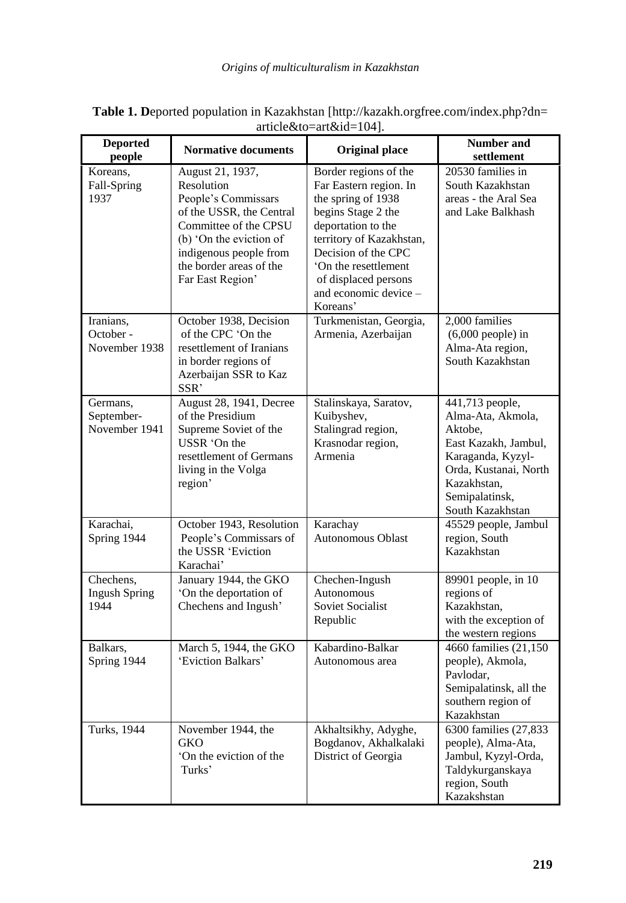| $\arrows$ article $\alpha$ to $\equiv$ art $\alpha$ i $\alpha$ $\equiv$ 1041. |                                                                                                                                                                                                                |                                                                                                                                                                                                                                                           |                                                                                                                                                                            |  |
|-------------------------------------------------------------------------------|----------------------------------------------------------------------------------------------------------------------------------------------------------------------------------------------------------------|-----------------------------------------------------------------------------------------------------------------------------------------------------------------------------------------------------------------------------------------------------------|----------------------------------------------------------------------------------------------------------------------------------------------------------------------------|--|
| <b>Deported</b><br>people                                                     | <b>Normative documents</b>                                                                                                                                                                                     | Original place                                                                                                                                                                                                                                            | Number and<br>settlement                                                                                                                                                   |  |
| Koreans.<br>Fall-Spring<br>1937                                               | August 21, 1937,<br>Resolution<br>People's Commissars<br>of the USSR, the Central<br>Committee of the CPSU<br>(b) 'On the eviction of<br>indigenous people from<br>the border areas of the<br>Far East Region' | Border regions of the<br>Far Eastern region. In<br>the spring of 1938<br>begins Stage 2 the<br>deportation to the<br>territory of Kazakhstan,<br>Decision of the CPC<br>'On the resettlement<br>of displaced persons<br>and economic device -<br>Koreans' | 20530 families in<br>South Kazakhstan<br>areas - the Aral Sea<br>and Lake Balkhash                                                                                         |  |
| Iranians.<br>October -<br>November 1938                                       | October 1938, Decision<br>of the CPC 'On the<br>resettlement of Iranians<br>in border regions of<br>Azerbaijan SSR to Kaz<br>SSR'                                                                              | Turkmenistan, Georgia,<br>Armenia, Azerbaijan                                                                                                                                                                                                             | 2,000 families<br>$(6,000$ people) in<br>Alma-Ata region,<br>South Kazakhstan                                                                                              |  |
| Germans,<br>September-<br>November 1941                                       | August 28, 1941, Decree<br>of the Presidium<br>Supreme Soviet of the<br>USSR 'On the<br>resettlement of Germans<br>living in the Volga<br>region'                                                              | Stalinskaya, Saratov,<br>Kuibyshev,<br>Stalingrad region,<br>Krasnodar region,<br>Armenia                                                                                                                                                                 | 441,713 people,<br>Alma-Ata, Akmola,<br>Aktobe.<br>East Kazakh, Jambul,<br>Karaganda, Kyzyl-<br>Orda, Kustanai, North<br>Kazakhstan,<br>Semipalatinsk,<br>South Kazakhstan |  |
| Karachai,<br>Spring 1944                                                      | October 1943, Resolution<br>People's Commissars of<br>the USSR 'Eviction<br>Karachai'                                                                                                                          | Karachay<br><b>Autonomous Oblast</b>                                                                                                                                                                                                                      | 45529 people, Jambul<br>region, South<br>Kazakhstan                                                                                                                        |  |
| Chechens,<br><b>Ingush Spring</b><br>1944                                     | January 1944, the GKO<br>'On the deportation of<br>Chechens and Ingush'                                                                                                                                        | Chechen-Ingush<br>Autonomous<br>Soviet Socialist<br>Republic                                                                                                                                                                                              | 89901 people, in 10<br>regions of<br>Kazakhstan,<br>with the exception of<br>the western regions                                                                           |  |
| Balkars,<br>Spring 1944                                                       | March 5, 1944, the GKO<br>'Eviction Balkars'                                                                                                                                                                   | Kabardino-Balkar<br>Autonomous area                                                                                                                                                                                                                       | 4660 families (21,150)<br>people), Akmola,<br>Pavlodar,<br>Semipalatinsk, all the<br>southern region of<br>Kazakhstan                                                      |  |
| Turks, 1944                                                                   | November 1944, the<br>GKO<br>'On the eviction of the<br>Turks'                                                                                                                                                 | Akhaltsikhy, Adyghe,<br>Bogdanov, Akhalkalaki<br>District of Georgia                                                                                                                                                                                      | 6300 families (27,833<br>people), Alma-Ata,<br>Jambul, Kyzyl-Orda,<br>Taldykurganskaya<br>region, South<br>Kazakshstan                                                     |  |

Table 1. Deported population in Kazakhstan [http://kazakh.orgfree.com/index.php?dn= article&to=art&id=104].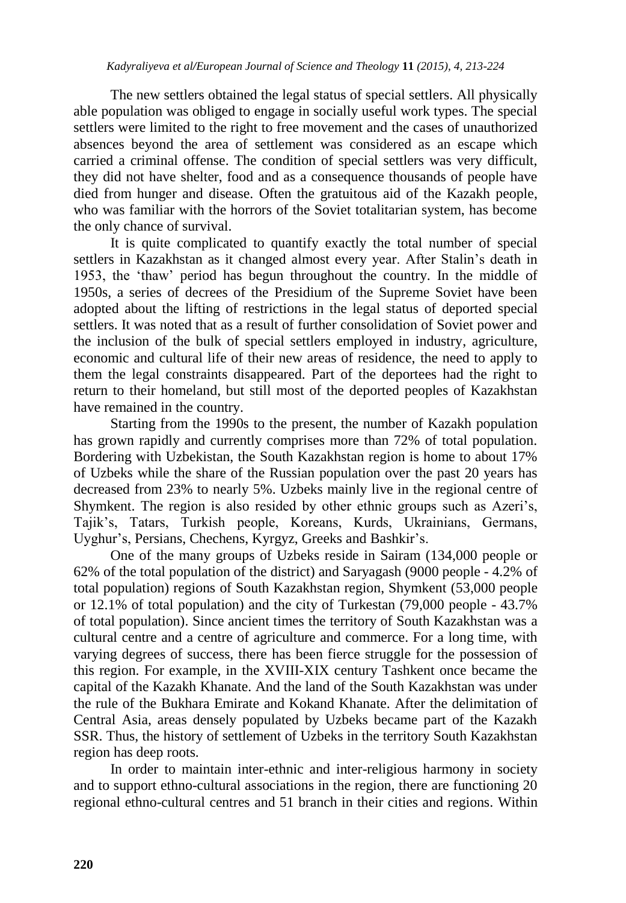The new settlers obtained the legal status of special settlers. All physically able population was obliged to engage in socially useful work types. The special settlers were limited to the right to free movement and the cases of unauthorized absences beyond the area of settlement was considered as an escape which carried a criminal offense. The condition of special settlers was very difficult, they did not have shelter, food and as a consequence thousands of people have died from hunger and disease. Often the gratuitous aid of the Kazakh people, who was familiar with the horrors of the Soviet totalitarian system, has become the only chance of survival.

It is quite complicated to quantify exactly the total number of special settlers in Kazakhstan as it changed almost every year. After Stalin"s death in 1953, the "thaw" period has begun throughout the country. In the middle of 1950s, a series of decrees of the Presidium of the Supreme Soviet have been adopted about the lifting of restrictions in the legal status of deported special settlers. It was noted that as a result of further consolidation of Soviet power and the inclusion of the bulk of special settlers employed in industry, agriculture, economic and cultural life of their new areas of residence, the need to apply to them the legal constraints disappeared. Part of the deportees had the right to return to their homeland, but still most of the deported peoples of Kazakhstan have remained in the country.

Starting from the 1990s to the present, the number of Kazakh population has grown rapidly and currently comprises more than 72% of total population. Bordering with Uzbekistan, the South Kazakhstan region is home to about 17% of Uzbeks while the share of the Russian population over the past 20 years has decreased from 23% to nearly 5%. Uzbeks mainly live in the regional centre of Shymkent. The region is also resided by other ethnic groups such as Azeri's, Tajik"s, Tatars, Turkish people, Koreans, Kurds, Ukrainians, Germans, Uyghur"s, Persians, Chechens, Kyrgyz, Greeks and Bashkir"s.

One of the many groups of Uzbeks reside in Sairam (134,000 people or 62% of the total population of the district) and Saryagash (9000 people - 4.2% of total population) regions of South Kazakhstan region, Shymkent (53,000 people or 12.1% of total population) and the city of Turkestan (79,000 people - 43.7% of total population). Since ancient times the territory of South Kazakhstan was a cultural centre and a centre of agriculture and commerce. For a long time, with varying degrees of success, there has been fierce struggle for the possession of this region. For example, in the XVIII-XIX century Tashkent once became the capital of the Kazakh Khanate. And the land of the South Kazakhstan was under the rule of the Bukhara Emirate and Kokand Khanate. After the delimitation of Central Asia, areas densely populated by Uzbeks became part of the Kazakh SSR. Thus, the history of settlement of Uzbeks in the territory South Kazakhstan region has deep roots.

In order to maintain inter-ethnic and inter-religious harmony in society and to support ethno-cultural associations in the region, there are functioning 20 regional ethno-cultural centres and 51 branch in their cities and regions. Within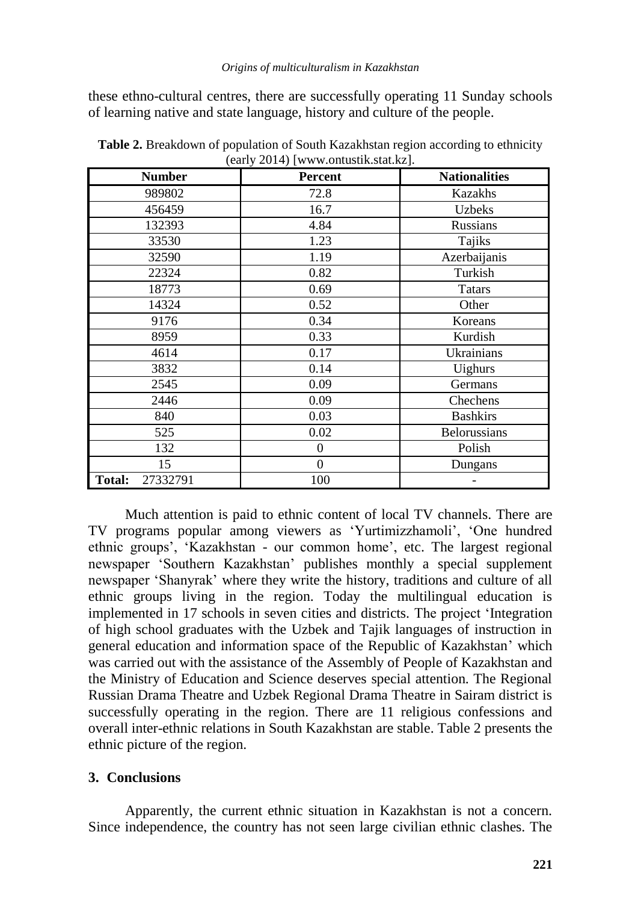these ethno-cultural centres, there are successfully operating 11 Sunday schools of learning native and state language, history and culture of the people.

| <b>Number</b>             | <b>Percent</b> | <b>Nationalities</b> |
|---------------------------|----------------|----------------------|
| 989802                    | 72.8           | <b>Kazakhs</b>       |
| 456459                    | 16.7           | <b>Uzbeks</b>        |
| 132393                    | 4.84           | <b>Russians</b>      |
| 33530                     | 1.23           | Tajiks               |
| 32590                     | 1.19           | Azerbaijanis         |
| 22324                     | 0.82           | Turkish              |
| 18773                     | 0.69           | <b>Tatars</b>        |
| 14324                     | 0.52           | Other                |
| 9176                      | 0.34           | Koreans              |
| 8959                      | 0.33           | Kurdish              |
| 4614                      | 0.17           | Ukrainians           |
| 3832                      | 0.14           | <b>Uighurs</b>       |
| 2545                      | 0.09           | Germans              |
| 2446                      | 0.09           | Chechens             |
| 840                       | 0.03           | <b>Bashkirs</b>      |
| 525                       | 0.02           | Belorussians         |
| 132                       | 0              | Polish               |
| 15                        | $\theta$       | Dungans              |
| 27332791<br><b>Total:</b> | 100            |                      |

**Table 2.** Breakdown of population of South Kazakhstan region according to ethnicity (early 2014) [\[www.ontustik.stat.kz\]](http://www.ontustik.stat.kz/).

Much attention is paid to ethnic content of local TV channels. There are TV programs popular among viewers as "Yurtimizzhamoli", "One hundred ethnic groups', 'Kazakhstan - our common home', etc. The largest regional newspaper "Southern Kazakhstan" publishes monthly a special supplement newspaper "Shanyrak" where they write the history, traditions and culture of all ethnic groups living in the region. Today the multilingual education is implemented in 17 schools in seven cities and districts. The project "Integration of high school graduates with the Uzbek and Tajik languages of instruction in general education and information space of the Republic of Kazakhstan" which was carried out with the assistance of the Assembly of People of Kazakhstan and the Ministry of Education and Science deserves special attention. The Regional Russian Drama Theatre and Uzbek Regional Drama Theatre in Sairam district is successfully operating in the region. There are 11 religious confessions and overall inter-ethnic relations in South Kazakhstan are stable. Table 2 presents the ethnic picture of the region.

#### **3. Conclusions**

Apparently, the current ethnic situation in Kazakhstan is not a concern. Since independence, the country has not seen large civilian ethnic clashes. The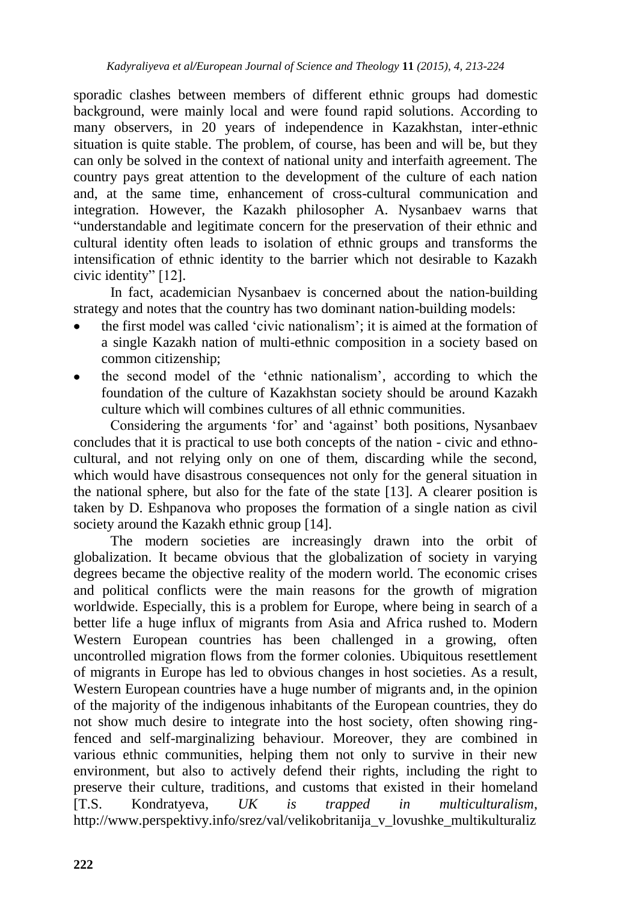sporadic clashes between members of different ethnic groups had domestic background, were mainly local and were found rapid solutions. According to many observers, in 20 years of independence in Kazakhstan, inter-ethnic situation is quite stable. The problem, of course, has been and will be, but they can only be solved in the context of national unity and interfaith agreement. The country pays great attention to the development of the culture of each nation and, at the same time, enhancement of cross-cultural communication and integration. However, the Kazakh philosopher A. Nysanbaev warns that "understandable and legitimate concern for the preservation of their ethnic and cultural identity often leads to isolation of ethnic groups and transforms the intensification of ethnic identity to the barrier which not desirable to Kazakh civic identity" [12].

In fact, academician Nysanbaev is concerned about the nation-building strategy and notes that the country has two dominant nation-building models:

- the first model was called "civic nationalism"; it is aimed at the formation of a single Kazakh nation of multi-ethnic composition in a society based on common citizenship;
- the second model of the "ethnic nationalism", according to which the foundation of the culture of Kazakhstan society should be around Kazakh culture which will combines cultures of all ethnic communities.

Considering the arguments 'for' and 'against' both positions, Nysanbaev concludes that it is practical to use both concepts of the nation - civic and ethnocultural, and not relying only on one of them, discarding while the second, which would have disastrous consequences not only for the general situation in the national sphere, but also for the fate of the state [13]. A clearer position is taken by D. Eshpanova who proposes the formation of a single nation as civil society around the Kazakh ethnic group [14].

The modern societies are increasingly drawn into the orbit of globalization. It became obvious that the globalization of society in varying degrees became the objective reality of the modern world. The economic crises and political conflicts were the main reasons for the growth of migration worldwide. Especially, this is a problem for Europe, where being in search of a better life a huge influx of migrants from Asia and Africa rushed to. Modern Western European countries has been challenged in a growing, often uncontrolled migration flows from the former colonies. Ubiquitous resettlement of migrants in Europe has led to obvious changes in host societies. As a result, Western European countries have a huge number of migrants and, in the opinion of the majority of the indigenous inhabitants of the European countries, they do not show much desire to integrate into the host society, often showing ringfenced and self-marginalizing behaviour. Moreover, they are combined in various ethnic communities, helping them not only to survive in their new environment, but also to actively defend their rights, including the right to preserve their culture, traditions, and customs that existed in their homeland [T.S. Kondratyeva, *UK is trapped in multiculturalism*, http://www.perspektivy.info/srez/val/velikobritanija v lovushke multikulturaliz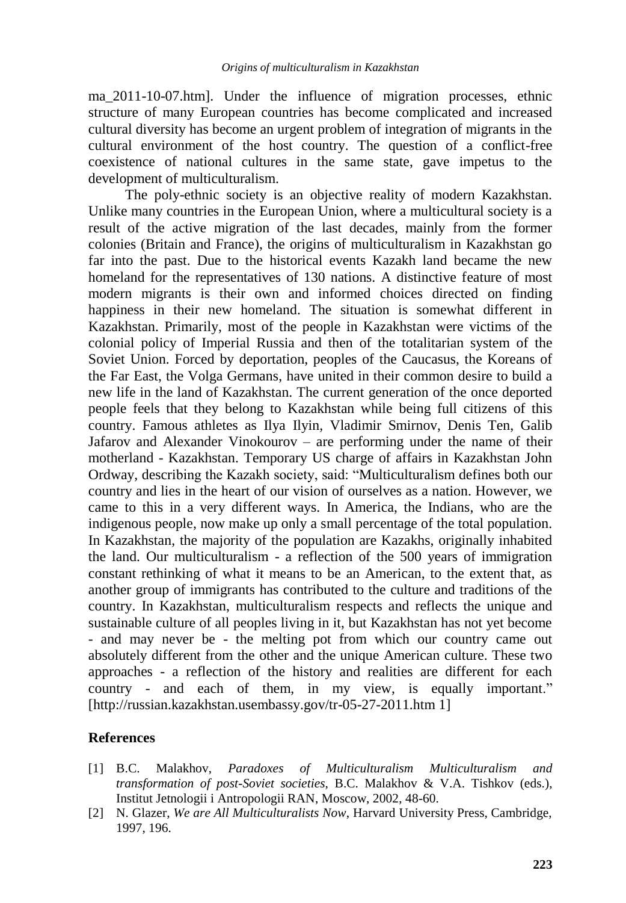ma\_2011-10-07.htm]. Under the influence of migration processes, ethnic structure of many European countries has become complicated and increased cultural diversity has become an urgent problem of integration of migrants in the cultural environment of the host country. The question of a conflict-free coexistence of national cultures in the same state, gave impetus to the development of multiculturalism.

The poly-ethnic society is an objective reality of modern Kazakhstan. Unlike many countries in the European Union, where a multicultural society is a result of the active migration of the last decades, mainly from the former colonies (Britain and France), the origins of multiculturalism in Kazakhstan go far into the past. Due to the historical events Kazakh land became the new homeland for the representatives of 130 nations. A distinctive feature of most modern migrants is their own and informed choices directed on finding happiness in their new homeland. The situation is somewhat different in Kazakhstan. Primarily, most of the people in Kazakhstan were victims of the colonial policy of Imperial Russia and then of the totalitarian system of the Soviet Union. Forced by deportation, peoples of the Caucasus, the Koreans of the Far East, the Volga Germans, have united in their common desire to build a new life in the land of Kazakhstan. The current generation of the once deported people feels that they belong to Kazakhstan while being full citizens of this country. Famous athletes as Ilya Ilyin, Vladimir Smirnov, Denis Ten, Galib Jafarov and Alexander Vinokourov – are performing under the name of their motherland - Kazakhstan. Temporary US charge of affairs in Kazakhstan John Ordway, describing the Kazakh society, said: "Multiculturalism defines both our country and lies in the heart of our vision of ourselves as a nation. However, we came to this in a very different ways. In America, the Indians, who are the indigenous people, now make up only a small percentage of the total population. In Kazakhstan, the majority of the population are Kazakhs, originally inhabited the land. Our multiculturalism - a reflection of the 500 years of immigration constant rethinking of what it means to be an American, to the extent that, as another group of immigrants has contributed to the culture and traditions of the country. In Kazakhstan, multiculturalism respects and reflects the unique and sustainable culture of all peoples living in it, but Kazakhstan has not yet become - and may never be - the melting pot from which our country came out absolutely different from the other and the unique American culture. These two approaches - a reflection of the history and realities are different for each country - and each of them, in my view, is equally important." [http://russian.kazakhstan.usembassy.gov/tr-05-27-2011.htm 1]

#### **References**

- [1] B.C. Malakhov, *Paradoxes of Multiculturalism Multiculturalism and transformation of post-Soviet societies*, B.C. Malakhov & V.A. Tishkov (eds.), Institut Jetnologii i Antropologii RAN, Moscow, 2002, 48-60.
- [2] N. Glazer, *We are All Multiculturalists Now*, Harvard University Press, Cambridge, 1997, 196.